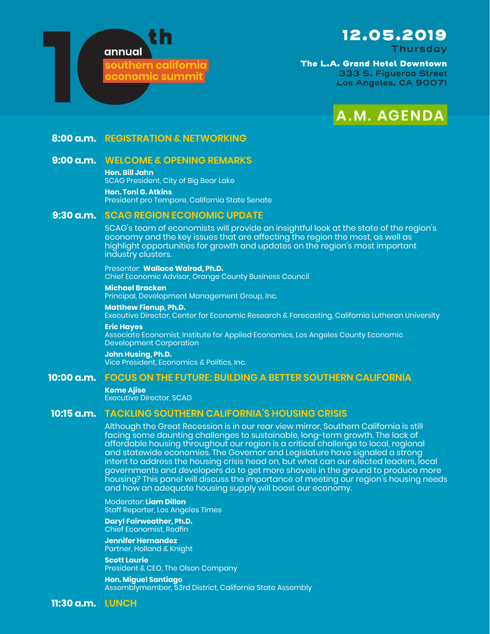

# 12.05.2019

**Thursday**

The L.A. Grand Hotel Downtown **333 S. Figueroa Street Los Angeles, CA 90071**



### **8:00 a.m. REGISTRATION & NETWORKING**

# **9:00 a.m. WELCOME & OPENING REMARKS**

**Hon. Bill Jahn**

SCAG President, City of Big Bear Lake **Hon. Toni G. Atkins** President pro Tempore, California State Senate

## **9:30 a.m. SCAG REGION ECONOMIC UPDATE**

SCAG's team of economists will provide an insightful look at the state of the region's economy and the key issues that are affecting the region the most, as well as highlight opportunities for growth and updates on the region's most important industry clusters.

Presenter: **Wallace Walrod, Ph.D.** Chief Economic Advisor, Orange County Business Council

**Michael Bracken** Principal, Development Management Group, Inc.

**Matthew Fienup, Ph.D.**

Executive Director, Center for Economic Research & Forecasting, California Lutheran University

**Eric Hayes** Associate Economist, Institute for Applied Economics, Los Angeles County Economic Development Corporation

**John Husing, Ph.D.** Vice President, Economics & Politics, Inc.

## **10:00 a.m. FOCUS ON THE FUTURE: BUILDING A BETTER SOUTHERN CALIFORNIA**

**Kome Ajise** Executive Director, SCAG

## **10:15 a.m. TACKLING SOUTHERN CALIFORNIA'S HOUSING CRISIS**

Although the Great Recession is in our rear view mirror, Southern California is still facing some daunting challenges to sustainable, long-term growth. The lack of affordable housing throughout our region is a critical challenge to local, regional and statewide economies. The Governor and Legislature have signaled a strong intent to address the housing crisis head on, but what can our elected leaders, local governments and developers do to get more shovels in the ground to produce more housing? This panel will discuss the importance of meeting our region's housing needs and how an adequate housing supply will boost our economy.

Moderator: **Liam Dillon** Staff Reporter, Los Angeles Times

**Daryl Fairweather, Ph.D.** Chief Economist, Redfin

**Jennifer Hernandez** Partner, Holland & Knight

**Scott Laurie** President & CEO, The Olson Company

**Hon. Miguel Santiago** Assemblymember, 53rd District, California State Assembly